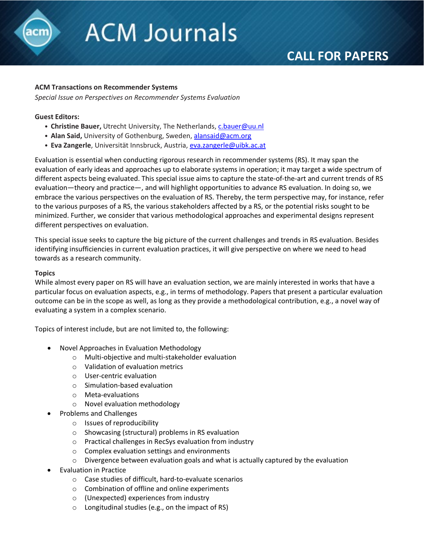

# **ACM Journals**

# **CALL FOR PAPERS**

## **ACM Transactions on Recommender Systems**

*Special Issue on Perspectives on Recommender Systems Evaluation*

#### **Guest Editors:**

- **Christine Bauer,** Utrecht University, The Netherlands, [c.bauer@uu.nl](mailto:c.bauer@uu.nl)
- **Alan Said,** University of Gothenburg, Sweden, [alansaid@acm.org](mailto:alansaid@acm.org)
- **Eva Zangerle**, Universität Innsbruck, Austria, [eva.zangerle@uibk.ac.at](mailto:eva.zangerle@uibk.ac.at)

Evaluation is essential when conducting rigorous research in recommender systems (RS). It may span the evaluation of early ideas and approaches up to elaborate systems in operation; it may target a wide spectrum of different aspects being evaluated. This special issue aims to capture the state-of-the-art and current trends of RS evaluation—theory and practice—, and will highlight opportunities to advance RS evaluation. In doing so, we embrace the various perspectives on the evaluation of RS. Thereby, the term perspective may, for instance, refer to the various purposes of a RS, the various stakeholders affected by a RS, or the potential risks sought to be minimized. Further, we consider that various methodological approaches and experimental designs represent different perspectives on evaluation.

This special issue seeks to capture the big picture of the current challenges and trends in RS evaluation. Besides identifying insufficiencies in current evaluation practices, it will give perspective on where we need to head towards as a research community.

#### **Topics**

While almost every paper on RS will have an evaluation section, we are mainly interested in works that have a particular focus on evaluation aspects, e.g., in terms of methodology. Papers that present a particular evaluation outcome can be in the scope as well, as long as they provide a methodological contribution, e.g., a novel way of evaluating a system in a complex scenario.

Topics of interest include, but are not limited to, the following:

- Novel Approaches in Evaluation Methodology
	- o Multi-objective and multi-stakeholder evaluation
	- o Validation of evaluation metrics
	- o User-centric evaluation
	- o Simulation-based evaluation
	- o Meta-evaluations
	- o Novel evaluation methodology
- Problems and Challenges
	- o Issues of reproducibility
	- o Showcasing (structural) problems in RS evaluation
	- o Practical challenges in RecSys evaluation from industry
	- o Complex evaluation settings and environments
	- $\circ$  Divergence between evaluation goals and what is actually captured by the evaluation
- Evaluation in Practice
	- o Case studies of difficult, hard-to-evaluate scenarios
	- o Combination of offline and online experiments
	- o (Unexpected) experiences from industry
	- o Longitudinal studies (e.g., on the impact of RS)